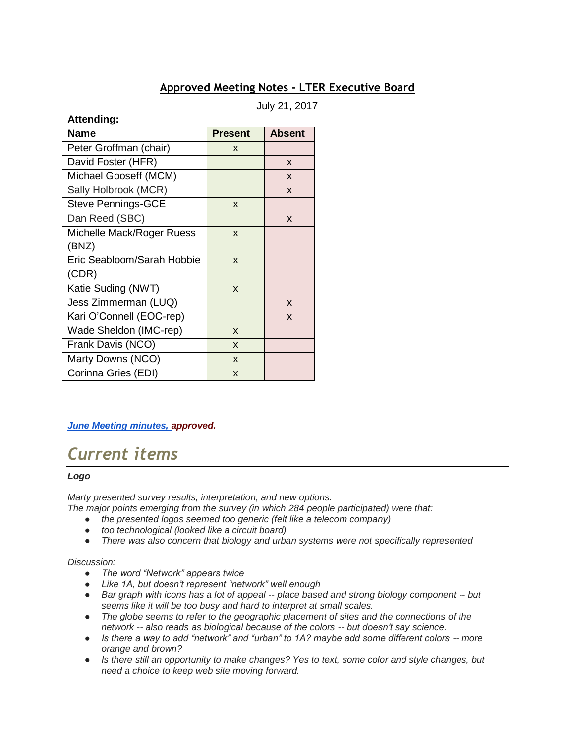## **Approved Meeting Notes - LTER Executive Board**

July 21, 2017

## **Attending:**

| <b>Name</b>                | <b>Present</b> | <b>Absent</b> |
|----------------------------|----------------|---------------|
| Peter Groffman (chair)     | X              |               |
| David Foster (HFR)         |                | X             |
| Michael Gooseff (MCM)      |                | X             |
| Sally Holbrook (MCR)       |                | X             |
| <b>Steve Pennings-GCE</b>  | X              |               |
| Dan Reed (SBC)             |                | X             |
| Michelle Mack/Roger Ruess  | X              |               |
| (BNZ)                      |                |               |
| Eric Seabloom/Sarah Hobbie | X              |               |
| (CDR)                      |                |               |
| Katie Suding (NWT)         | X              |               |
| Jess Zimmerman (LUQ)       |                | X             |
| Kari O'Connell (EOC-rep)   |                | X             |
| Wade Sheldon (IMC-rep)     | X              |               |
| Frank Davis (NCO)          | X              |               |
| Marty Downs (NCO)          | X              |               |
| Corinna Gries (EDI)        | X              |               |

## *[June Meeting minutes, a](https://docs.google.com/a/nceas.ucsb.edu/viewer?a=v&pid=sites&srcid=bmNlYXMudWNzYi5lZHV8bHRlci1lYnxneDoxYjgxZTBmMDFmZjZhODY0)pproved.*

# *Current items*

#### *Logo*

*Marty presented survey results, interpretation, and new options.*

- *The major points emerging from the survey (in which 284 people participated) were that:*
	- *the presented logos seemed too generic (felt like a telecom company)*
	- *too technological (looked like a circuit board)*
	- *There was also concern that biology and urban systems were not specifically represented*

#### *Discussion:*

- *The word "Network" appears twice*
- *Like 1A, but doesn't represent "network" well enough*
- *Bar graph with icons has a lot of appeal -- place based and strong biology component -- but seems like it will be too busy and hard to interpret at small scales.*
- *The globe seems to refer to the geographic placement of sites and the connections of the network -- also reads as biological because of the colors -- but doesn't say science.*
- *Is there a way to add "network" and "urban" to 1A? maybe add some different colors -- more orange and brown?*
- *Is there still an opportunity to make changes? Yes to text, some color and style changes, but need a choice to keep web site moving forward.*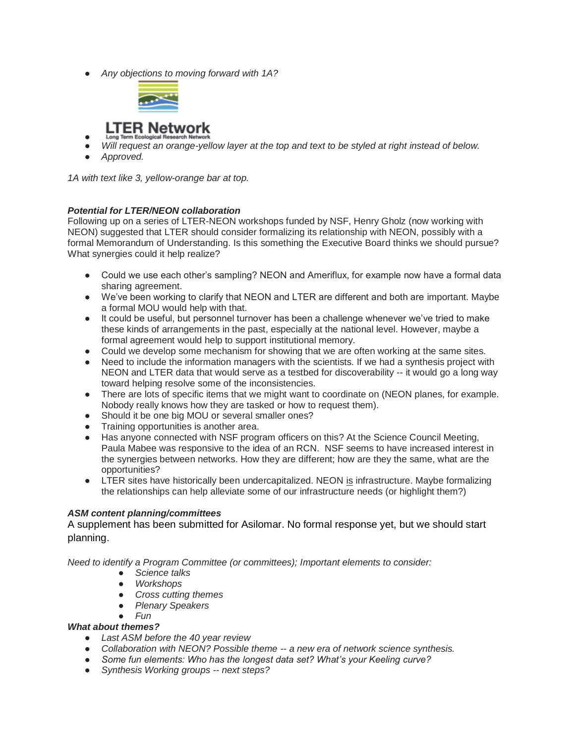● *Any objections to moving forward with 1A?*



## **LTER Network**

- ● *Will request an orange-yellow layer at the top and text to be styled at right instead of below.*
- *Approved.*

*1A with text like 3, yellow-orange bar at top.*

#### *Potential for LTER/NEON collaboration*

Following up on a series of LTER-NEON workshops funded by NSF, Henry Gholz (now working with NEON) suggested that LTER should consider formalizing its relationship with NEON, possibly with a formal Memorandum of Understanding. Is this something the Executive Board thinks we should pursue? What synergies could it help realize?

- Could we use each other's sampling? NEON and Ameriflux, for example now have a formal data sharing agreement.
- We've been working to clarify that NEON and LTER are different and both are important. Maybe a formal MOU would help with that.
- It could be useful, but personnel turnover has been a challenge whenever we've tried to make these kinds of arrangements in the past, especially at the national level. However, maybe a formal agreement would help to support institutional memory.
- Could we develop some mechanism for showing that we are often working at the same sites.
- Need to include the information managers with the scientists. If we had a synthesis project with NEON and LTER data that would serve as a testbed for discoverability -- it would go a long way toward helping resolve some of the inconsistencies.
- There are lots of specific items that we might want to coordinate on (NEON planes, for example. Nobody really knows how they are tasked or how to request them).
- Should it be one big MOU or several smaller ones?
- Training opportunities is another area.
- Has anyone connected with NSF program officers on this? At the Science Council Meeting, Paula Mabee was responsive to the idea of an RCN. NSF seems to have increased interest in the synergies between networks. How they are different; how are they the same, what are the opportunities?
- LTER sites have historically been undercapitalized. NEON is infrastructure. Maybe formalizing the relationships can help alleviate some of our infrastructure needs (or highlight them?)

#### *ASM content planning/committees*

A supplement has been submitted for Asilomar. No formal response yet, but we should start planning.

*Need to identify a Program Committee (or committees); Important elements to consider:* 

- *Science talks*
- *Workshops*
- *Cross cutting themes*
- *Plenary Speakers*
- *Fun*

#### *What about themes?*

- *Last ASM before the 40 year review*
- *Collaboration with NEON? Possible theme -- a new era of network science synthesis.*
- *Some fun elements: Who has the longest data set? What's your Keeling curve?*
- *Synthesis Working groups -- next steps?*